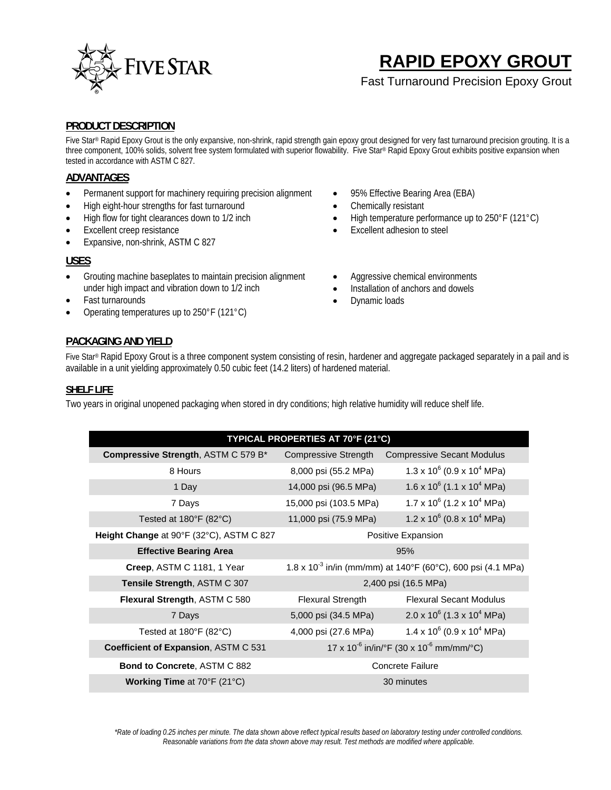

# **RAPID EPOXY GROUT**

Fast Turnaround Precision Epoxy Grout

### **PRODUCT DESCRIPTION**

Five Star® Rapid Epoxy Grout is the only expansive, non-shrink, rapid strength gain epoxy grout designed for very fast turnaround precision grouting. It is a three component, 100% solids, solvent free system formulated with superior flowability. Five Star® Rapid Epoxy Grout exhibits positive expansion when tested in accordance with ASTM C 827.

### **ADVANTAGES**

- Permanent support for machinery requiring precision alignment
- High eight-hour strengths for fast turnaround
- High flow for tight clearances down to 1/2 inch
- Excellent creep resistance
- Expansive, non-shrink, ASTM C 827

#### **USES**

- Grouting machine baseplates to maintain precision alignment under high impact and vibration down to 1/2 inch
- Fast turnarounds
- Operating temperatures up to 250°F (121°C)
- 95% Effective Bearing Area (EBA)
- Chemically resistant
- High temperature performance up to 250°F (121°C)
- Excellent adhesion to steel
- Aggressive chemical environments
- Installation of anchors and dowels
- Dynamic loads

### **PACKAGING AND YIELD**

Five Star® Rapid Epoxy Grout is a three component system consisting of resin, hardener and aggregate packaged separately in a pail and is available in a unit yielding approximately 0.50 cubic feet (14.2 liters) of hardened material.

#### **SHELF LIFE**

Two years in original unopened packaging when stored in dry conditions; high relative humidity will reduce shelf life.

| TYPICAL PROPERTIES AT 70°F (21°C)           |                                                                         |                                               |
|---------------------------------------------|-------------------------------------------------------------------------|-----------------------------------------------|
| <b>Compressive Strength, ASTM C 579 B*</b>  | <b>Compressive Strength</b>                                             | <b>Compressive Secant Modulus</b>             |
| 8 Hours                                     | 8,000 psi (55.2 MPa)                                                    | $1.3 \times 10^6$ (0.9 x 10 <sup>4</sup> MPa) |
| 1 Day                                       | 14,000 psi (96.5 MPa)                                                   | $1.6 \times 10^6$ (1.1 x 10 <sup>4</sup> MPa) |
| 7 Days                                      | 15,000 psi (103.5 MPa)                                                  | $1.7 \times 10^6$ (1.2 x 10 <sup>4</sup> MPa) |
| Tested at $180^{\circ}F(82^{\circ}C)$       | 11,000 psi (75.9 MPa)                                                   | $1.2 \times 10^6$ (0.8 x 10 <sup>4</sup> MPa) |
| Height Change at 90°F (32°C), ASTM C 827    | Positive Expansion                                                      |                                               |
| <b>Effective Bearing Area</b>               | 95%                                                                     |                                               |
| Creep, ASTM C 1181, 1 Year                  | 1.8 x 10 <sup>-3</sup> in/in (mm/mm) at 140°F (60°C), 600 psi (4.1 MPa) |                                               |
| Tensile Strength, ASTM C 307                | 2,400 psi (16.5 MPa)                                                    |                                               |
| Flexural Strength, ASTM C 580               | <b>Flexural Strength</b>                                                | <b>Flexural Secant Modulus</b>                |
| 7 Days                                      | 5,000 psi (34.5 MPa)                                                    | $2.0 \times 10^6$ (1.3 x 10 <sup>4</sup> MPa) |
| Tested at $180^{\circ}$ F (82 $^{\circ}$ C) | 4,000 psi (27.6 MPa)                                                    | $1.4 \times 10^6$ (0.9 x 10 <sup>4</sup> MPa) |
| Coefficient of Expansion, ASTM C 531        | 17 x 10 <sup>-6</sup> in/in/°F (30 x 10 <sup>-6</sup> mm/mm/°C)         |                                               |
| <b>Bond to Concrete, ASTM C 882</b>         | <b>Concrete Failure</b>                                                 |                                               |
| <b>Working Time at 70°F (21°C)</b>          | 30 minutes                                                              |                                               |

*\*Rate of loading 0.25 inches per minute. The data shown above reflect typical results based on laboratory testing under controlled conditions. Reasonable variations from the data shown above may result. Test methods are modified where applicable.*